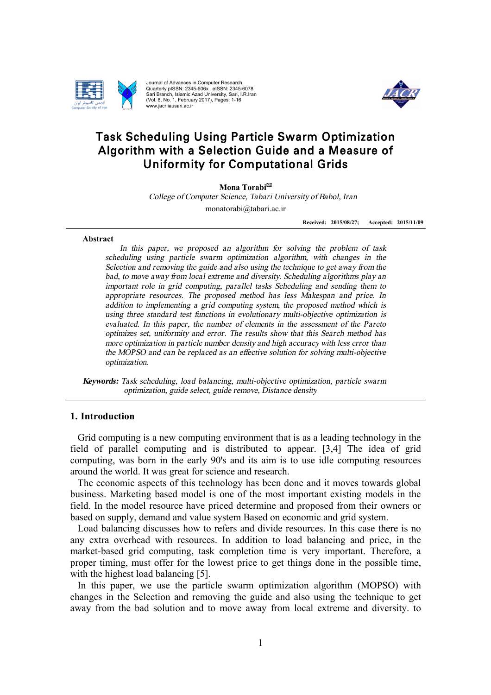

Journal of Advances in Computer Research Quarterly pISSN: Sari Branch, Islamic Azad University ISSN: 2345-606x eISSN x eISSN: 2345-6078 University, Sari, I.R.Iran (Vol. 8, No. 1, February 2017), Pages: 1-16 www.jacr.iausari.ac.ir



# Task Scheduling Using Particle Swarm Optim Optimization Task Scheduling Using Particle Swarm Optimization<br>Algorithm with a Selection Guide and a Measure of m with a Selection Guide and a Mea<br>Uniformity for Computational Grids

**Mona Torabi** \*

*College of Computer Science, Tabari University of Babol, Iran Science,* monatorabi@tabari.ac.ir

> **Received: 2015/08/27 27; Accepted: 201**

### **Abstract Abstract**

more optimization in particle number density and high accuracy with less error than<br>
the MOPSO and can be replaced as an effective solution for solving multi-objective<br> *potimization*,<br> *Keywords:* Task scheduling, load ba In this paper, we proposed an algorithm for solving the problem of task *scheduling using particle swarm optimization algori algorithm, with changes in the Selection and removing the guide and also using the technique to get away from the bad, to move away from local extreme reme and diversity. Scheduling algorithms play an important role in grid computing, parallel tasks Scheduling and sending them to appropriate reso resources. The proposed method has urces. less Makespan and price. addition to implementing a grid computing system, the proposed method which is using* three *standard* test functions in evolutionary multi-objective optimization is *evaluated.* In this paper, the *number* of elements in the assessment of the Pareto *optimizes set, uniformity and error. The results show that this has optimizes set, uniformity and error. The results show that this Search method has more optimization in particle number density and high accuracy with less error than more optimization in particle number density and high accuracy with less error than the MOPSO and can be replaced as an effective solution for solving multi-objective optimization optimization.* solution and algorithm, with changes in<br>the technique to get away from<br>ity. Scheduling algorithms pla<br>Scheduling and sending ther<br>as less Makespan and price<br>m, the proposed method which<br>in the assessment of the Pa<br>show that this Search *Scheduling algorithms play an*<br>*heduling and sending them to*<br>*less Makespan and price. In* Received: 2015/08/27; Accepted: 2015/11/09<br>
n algorithm for solving the problem of task<br>
optimization algorithm, with changes in the<br>
also using the technique to get away from the<br>
nean d diversity. Scheeduing algorithms p

*optimization, guide select, guide remove, Distance density*

# **1. Introduction**

Grid computing is a new computing environment that is as a leading technology in the field of parallel computing and is distributed to appear computing, was born in the early 90's and its aim is to use idle computing resources around the world. It was great for science and research. Grid computing is a new computing environment that is as a leading technology<br>field of parallel computing and is distributed to appear. [3,4] The idea o<br>computing, was born in the early 90's and its aim is to use idle comp appear. [3,4] The idea of grid

The economic aspects of this technology has been done and it moves towards global business. Marketing based model is one of the most important existing models in the The economic aspects of this technology has been done and it moves towards global business. Marketing based model is one of the most important existing models in the field. In the model resource have priced determine and p based on supply, demand and value system Based on economic and grid system.

Load balancing discusses how to refers and divide resources. In this case there is no any extra overhead with resources. In addition to load balancing and price, in the market-based grid computing, task completion time is very important. Therefore, a proper timing, must offer for the lowest price to get things done in the possible time, with the highest load balancing [5]. with the with the highest load balancing

In this paper, we use the particle swarm optimization algorithm (MOPSO) with changes in the Selection and removing the guide and also using the technique to get away from the bad solution and to move away from local extreme ion and removing the gui<br>
olution and to move away<br>
1 and diversity. to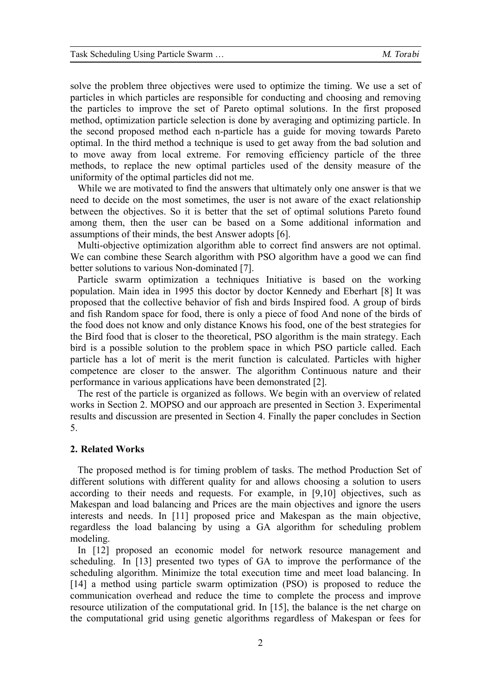solve the problem three objectives were used to optimize the timing. We use a set of particles in which particles are responsible for conducting and choosing and removing the particles to improve the set of Pareto optimal solutions. In the first proposed method, optimization particle selection is done by averaging and optimizing particle. In the second proposed method each n-particle has a guide for moving towards Pareto optimal. In the third method a technique is used to get away from the bad solution and to move away from local extreme. For removing efficiency particle of the three methods, to replace the new optimal particles used of the density measure of the uniformity of the optimal particles did not me.

While we are motivated to find the answers that ultimately only one answer is that we need to decide on the most sometimes, the user is not aware of the exact relationship between the objectives. So it is better that the set of optimal solutions Pareto found among them, then the user can be based on a Some additional information and assumptions of their minds, the best Answer adopts [6].

Multi-objective optimization algorithm able to correct find answers are not optimal. We can combine these Search algorithm with PSO algorithm have a good we can find better solutions to various Non-dominated [7].

Particle swarm optimization a techniques Initiative is based on the working population. Main idea in 1995 this doctor by doctor Kennedy and Eberhart [8] It was proposed that the collective behavior of fish and birds Inspired food. A group of birds and fish Random space for food, there is only a piece of food And none of the birds of the food does not know and only distance Knows his food, one of the best strategies for the Bird food that is closer to the theoretical, PSO algorithm is the main strategy. Each bird is a possible solution to the problem space in which PSO particle called. Each particle has a lot of merit is the merit function is calculated. Particles with higher competence are closer to the answer. The algorithm Continuous nature and their performance in various applications have been demonstrated [2].

The rest of the particle is organized as follows. We begin with an overview of related works in Section 2. MOPSO and our approach are presented in Section 3. Experimental results and discussion are presented in Section 4. Finally the paper concludes in Section 5.

# **2. Related Works**

The proposed method is for timing problem of tasks. The method Production Set of different solutions with different quality for and allows choosing a solution to users according to their needs and requests. For example, in [9,10] objectives, such as Makespan and load balancing and Prices are the main objectives and ignore the users interests and needs. In [11] proposed price and Makespan as the main objective, regardless the load balancing by using a GA algorithm for scheduling problem modeling.

In [12] proposed an economic model for network resource management and scheduling. In [13] presented two types of GA to improve the performance of the scheduling algorithm. Minimize the total execution time and meet load balancing. In [14] a method using particle swarm optimization (PSO) is proposed to reduce the communication overhead and reduce the time to complete the process and improve resource utilization of the computational grid. In [15], the balance is the net charge on the computational grid using genetic algorithms regardless of Makespan or fees for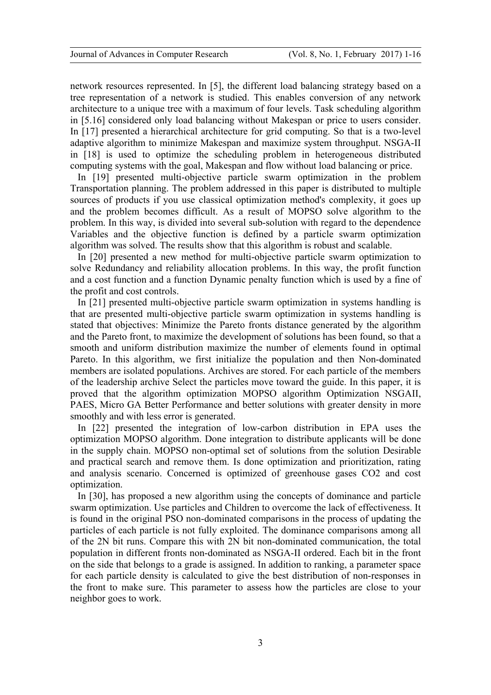network resources represented. In [5], the different load balancing strategy based on a tree representation of a network is studied. This enables conversion of any network architecture to a unique tree with a maximum of four levels. Task scheduling algorithm in [5.16] considered only load balancing without Makespan or price to users consider. In [17] presented a hierarchical architecture for grid computing. So that is a two-level adaptive algorithm to minimize Makespan and maximize system throughput. NSGA-II in [18] is used to optimize the scheduling problem in heterogeneous distributed computing systems with the goal, Makespan and flow without load balancing or price.

In [19] presented multi-objective particle swarm optimization in the problem Transportation planning. The problem addressed in this paper is distributed to multiple sources of products if you use classical optimization method's complexity, it goes up and the problem becomes difficult. As a result of MOPSO solve algorithm to the problem. In this way, is divided into several sub-solution with regard to the dependence Variables and the objective function is defined by a particle swarm optimization algorithm was solved. The results show that this algorithm is robust and scalable.

In [20] presented a new method for multi-objective particle swarm optimization to solve Redundancy and reliability allocation problems. In this way, the profit function and a cost function and a function Dynamic penalty function which is used by a fine of the profit and cost controls.

In [21] presented multi-objective particle swarm optimization in systems handling is that are presented multi-objective particle swarm optimization in systems handling is stated that objectives: Minimize the Pareto fronts distance generated by the algorithm and the Pareto front, to maximize the development of solutions has been found, so that a smooth and uniform distribution maximize the number of elements found in optimal Pareto. In this algorithm, we first initialize the population and then Non-dominated members are isolated populations. Archives are stored. For each particle of the members of the leadership archive Select the particles move toward the guide. In this paper, it is proved that the algorithm optimization MOPSO algorithm Optimization NSGAII, PAES, Micro GA Better Performance and better solutions with greater density in more smoothly and with less error is generated.

In [22] presented the integration of low-carbon distribution in EPA uses the optimization MOPSO algorithm. Done integration to distribute applicants will be done in the supply chain. MOPSO non-optimal set of solutions from the solution Desirable and practical search and remove them. Is done optimization and prioritization, rating and analysis scenario. Concerned is optimized of greenhouse gases CO2 and cost optimization.

In [30], has proposed a new algorithm using the concepts of dominance and particle swarm optimization. Use particles and Children to overcome the lack of effectiveness. It is found in the original PSO non-dominated comparisons in the process of updating the particles of each particle is not fully exploited. The dominance comparisons among all of the 2N bit runs. Compare this with 2N bit non-dominated communication, the total population in different fronts non-dominated as NSGA-II ordered. Each bit in the front on the side that belongs to a grade is assigned. In addition to ranking, a parameter space for each particle density is calculated to give the best distribution of non-responses in the front to make sure. This parameter to assess how the particles are close to your neighbor goes to work.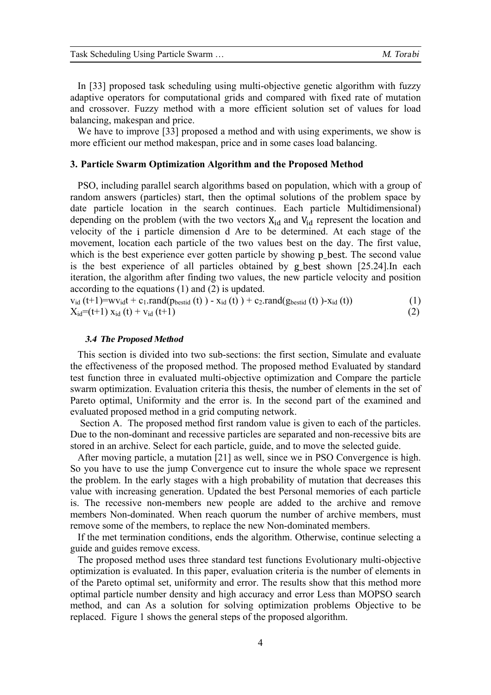| Task Scheduling Using Particle Swarm | M. Torabi |
|--------------------------------------|-----------|
|--------------------------------------|-----------|

In [33] proposed task scheduling using multi-objective genetic algorithm with fuzzy adaptive operators for computational grids and compared with fixed rate of mutation and crossover. Fuzzy method with a more efficient solution set of values for load balancing, makespan and price.

We have to improve [33] proposed a method and with using experiments, we show is more efficient our method makespan, price and in some cases load balancing.

# **3. Particle Swarm Optimization Algorithm and the Proposed Method**

PSO, including parallel search algorithms based on population, which with a group of random answers (particles) start, then the optimal solutions of the problem space by date particle location in the search continues. Each particle Multidimensional) depending on the problem (with the two vectors  $X_{id}$  and  $V_{id}$  represent the location and velocity of the i particle dimension d Are to be determined. At each stage of the movement, location each particle of the two values best on the day. The first value, which is the best experience ever gotten particle by showing p\_best. The second value is the best experience of all particles obtained by g best shown  $[25.24]$ . In each iteration, the algorithm after finding two values, the new particle velocity and position according to the equations (1) and (2) is updated.

 $v_{id}$  (t+1)=wv<sub>id</sub>t + c<sub>1</sub>.rand(p<sub>bestid</sub> (t)) - x<sub>id</sub> (t)) + c<sub>2</sub>.rand(g<sub>bestid</sub> (t))-x<sub>id</sub> (t)) (1)  $X_{id} = (t+1) X_{id} (t) + V_{id} (t+1)$  (2)

# *3.4 The Proposed Method*

This section is divided into two sub-sections: the first section, Simulate and evaluate the effectiveness of the proposed method. The proposed method Evaluated by standard test function three in evaluated multi-objective optimization and Compare the particle swarm optimization. Evaluation criteria this thesis, the number of elements in the set of Pareto optimal, Uniformity and the error is. In the second part of the examined and evaluated proposed method in a grid computing network.

 Section A. The proposed method first random value is given to each of the particles. Due to the non-dominant and recessive particles are separated and non-recessive bits are stored in an archive. Select for each particle, guide, and to move the selected guide.

After moving particle, a mutation [21] as well, since we in PSO Convergence is high. So you have to use the jump Convergence cut to insure the whole space we represent the problem. In the early stages with a high probability of mutation that decreases this value with increasing generation. Updated the best Personal memories of each particle is. The recessive non-members new people are added to the archive and remove members Non-dominated. When reach quorum the number of archive members, must remove some of the members, to replace the new Non-dominated members.

If the met termination conditions, ends the algorithm. Otherwise, continue selecting a guide and guides remove excess.

The proposed method uses three standard test functions Evolutionary multi-objective optimization is evaluated. In this paper, evaluation criteria is the number of elements in of the Pareto optimal set, uniformity and error. The results show that this method more optimal particle number density and high accuracy and error Less than MOPSO search method, and can As a solution for solving optimization problems Objective to be replaced. Figure 1 shows the general steps of the proposed algorithm.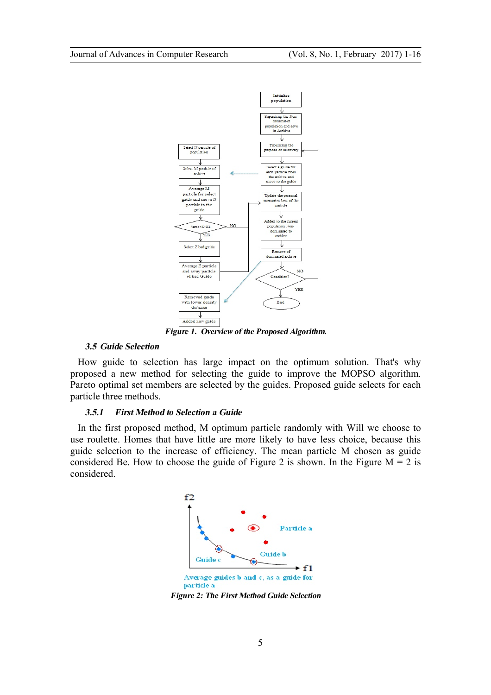

*Figure 1. Overview of the Proposed Algorithm.* 

# *3.5 Guide Selection*

How guide to selection has large impact on the optimum solution. That's why proposed a new method for selecting the guide to improve the MOPSO algorithm. Pareto optimal set members are selected by the guides. Proposed guide selects for each particle three methods.

# *3.5.1 First Method to Selection a Guide*

In the first proposed method, M optimum particle randomly with Will we choose to use roulette. Homes that have little are more likely to have less choice, because this guide selection to the increase of efficiency. The mean particle M chosen as guide considered Be. How to choose the guide of Figure 2 is shown. In the Figure  $M = 2$  is considered.



*Figure 2: The First Method Guide Selection*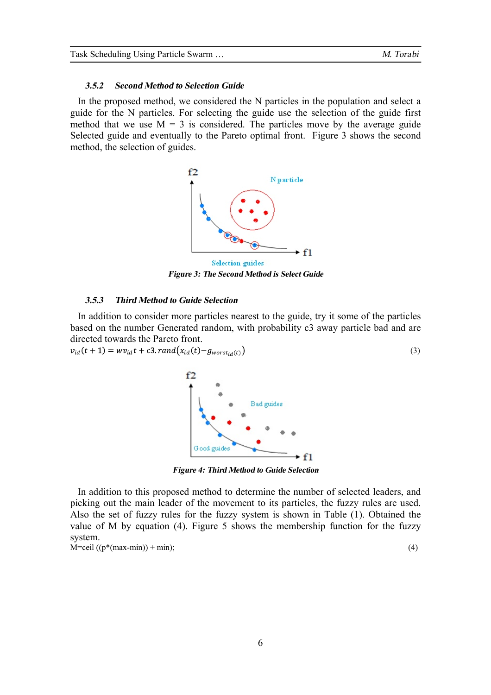# *3.5.2 Second Method to Selection Guide*

In the proposed method, we considered the N particles in the population and select a guide for the N particles. For selecting the guide use the selection of the guide first method that we use  $M = 3$  is considered. The particles move by the average guide Selected guide and eventually to the Pareto optimal front. Figure 3 shows the second method, the selection of guides.



*Figure 3: The Second Method is Select Guide* 

# *3.5.3 Third Method to Guide Selection*

In addition to consider more particles nearest to the guide, try it some of the particles based on the number Generated random, with probability c3 away particle bad and are directed towards the Pareto front.

 $v_{id}(t+1) = w v_{id} t + c3, rand(x_{id}(t) - g_{worst_{id}(t)})$ (3)



*Figure 4: Third Method to Guide Selection*

In addition to this proposed method to determine the number of selected leaders, and picking out the main leader of the movement to its particles, the fuzzy rules are used. Also the set of fuzzy rules for the fuzzy system is shown in Table (1). Obtained the value of M by equation (4). Figure 5 shows the membership function for the fuzzy system.  $\dot{M} =$ ceil (( $p^*(max-min)$ ) + min); (4)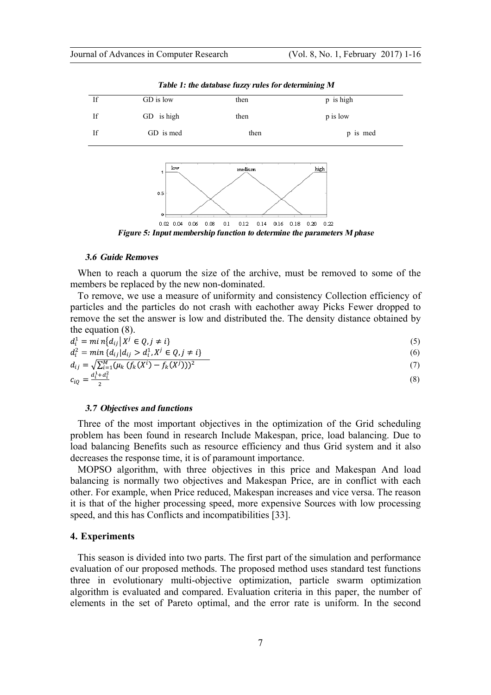

*Table 1: the database fuzzy rules for determining M* 

#### *3.6 Guide Removes*

When to reach a quorum the size of the archive, must be removed to some of the members be replaced by the new non-dominated.

To remove, we use a measure of uniformity and consistency Collection efficiency of particles and the particles do not crash with eachother away Picks Fewer dropped to remove the set the answer is low and distributed the. The density distance obtained by the equation (8).

$$
d_i^1 = \min\{d_{ij} | X^j \in Q, j \neq i\}
$$
  
\n
$$
d_i^2 = \min\{d_{ij} | d_{ij} > d_i^1, X^j \in Q, j \neq i\}
$$
\n(5)

$$
d_i^2 = \min \{ d_{ij} | d_{ij} > d_i^1, X^j \in Q, j \neq i \}
$$
  
(6)  

$$
d_{ij} = \sqrt{\sum_{i=1}^M (\mu_k (f_k(X^i) - f_k(X^j)))^2}
$$
 (7)

$$
c_{iQ} = \frac{d_i^1 + d_i^2}{2} \tag{8}
$$

### *3.7 Objectives and functions*

Three of the most important objectives in the optimization of the Grid scheduling problem has been found in research Include Makespan, price, load balancing. Due to load balancing Benefits such as resource efficiency and thus Grid system and it also decreases the response time, it is of paramount importance.

MOPSO algorithm, with three objectives in this price and Makespan And load balancing is normally two objectives and Makespan Price, are in conflict with each other. For example, when Price reduced, Makespan increases and vice versa. The reason it is that of the higher processing speed, more expensive Sources with low processing speed, and this has Conflicts and incompatibilities [33].

# **4. Experiments**

This season is divided into two parts. The first part of the simulation and performance evaluation of our proposed methods. The proposed method uses standard test functions three in evolutionary multi-objective optimization, particle swarm optimization algorithm is evaluated and compared. Evaluation criteria in this paper, the number of elements in the set of Pareto optimal, and the error rate is uniform. In the second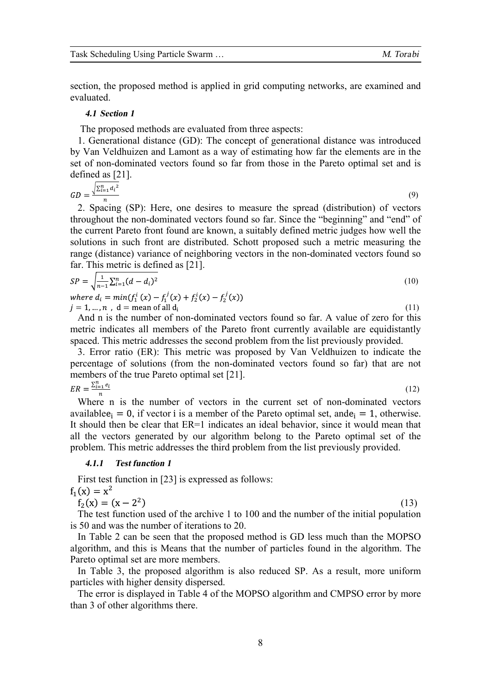section, the proposed method is applied in grid computing networks, are examined and evaluated.

### *4.1 Section 1*

The proposed methods are evaluated from three aspects:

1. Generational distance (GD): The concept of generational distance was introduced by Van Veldhuizen and Lamont as a way of estimating how far the elements are in the set of non-dominated vectors found so far from those in the Pareto optimal set and is defined as [21].

$$
GD = \frac{\sqrt{\sum_{i=1}^{n} d_i^2}}{n} \tag{9}
$$

2. Spacing (SP): Here, one desires to measure the spread (distribution) of vectors throughout the non-dominated vectors found so far. Since the "beginning" and "end" of the current Pareto front found are known, a suitably defined metric judges how well the solutions in such front are distributed. Schott proposed such a metric measuring the range (distance) variance of neighboring vectors in the non-dominated vectors found so far. This metric is defined as [21].

$$
SP = \sqrt{\frac{1}{n-1} \sum_{i=1}^{n} (d - d_i)^2}
$$
\n(10)

 $i = min(f_1^i(x) - f_1^j(x) + f_2^i(x) - f_2^j)$  $j = 1, ..., n$ ,  $d =$  mean of all  $d_i$ (11)

And n is the number of non-dominated vectors found so far. A value of zero for this metric indicates all members of the Pareto front currently available are equidistantly spaced. This metric addresses the second problem from the list previously provided.

3. Error ratio (ER): This metric was proposed by Van Veldhuizen to indicate the percentage of solutions (from the non-dominated vectors found so far) that are not members of the true Pareto optimal set [21].

$$
ER = \frac{\sum_{i=1}^{n} e_i}{n} \tag{12}
$$

Where n is the number of vectors in the current set of non-dominated vectors available  $e_i = 0$ , if vector i is a member of the Pareto optimal set, and  $e_i = 1$ , otherwise. It should then be clear that ER=1 indicates an ideal behavior, since it would mean that all the vectors generated by our algorithm belong to the Pareto optimal set of the problem. This metric addresses the third problem from the list previously provided.

# *4.1.1 Test function 1*

First test function in [23] is expressed as follows:

 $Y_1(x) = x^2$  $f_2(x) = (x - 2^2)$ (13)

The test function used of the archive 1 to 100 and the number of the initial population is 50 and was the number of iterations to 20.

In Table 2 can be seen that the proposed method is GD less much than the MOPSO algorithm, and this is Means that the number of particles found in the algorithm. The Pareto optimal set are more members.

In Table 3, the proposed algorithm is also reduced SP. As a result, more uniform particles with higher density dispersed.

The error is displayed in Table 4 of the MOPSO algorithm and CMPSO error by more than 3 of other algorithms there.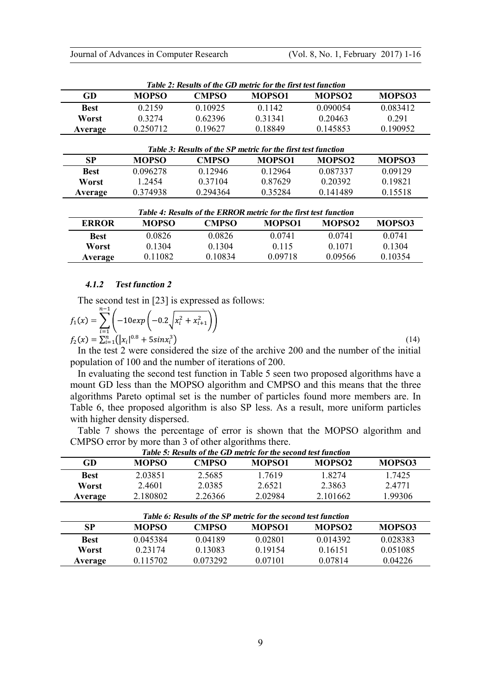| Table 2: Results of the GD metric for the first test function |              |              |               |               |               |  |  |
|---------------------------------------------------------------|--------------|--------------|---------------|---------------|---------------|--|--|
| GD                                                            | <b>MOPSO</b> | <b>CMPSO</b> | <b>MOPSO1</b> | <b>MOPSO2</b> | <b>MOPSO3</b> |  |  |
| <b>Best</b>                                                   | 0.2159       | 0.10925      | 0 1 1 4 2     | 0.090054      | 0.083412      |  |  |
| Worst                                                         | 0 3 2 7 4    | 0.62396      | 0.31341       | 0.20463       | 0.291         |  |  |
| Average                                                       | 0.250712     | 0.19627      | 0.18849       | 0.145853      | 0.190952      |  |  |
| Table 3: Results of the SP metric for the first test function |              |              |               |               |               |  |  |
| SP                                                            | <b>MOPSO</b> | <b>CMPSO</b> | <b>MOPSO1</b> | <b>MOPSO2</b> | <b>MOPSO3</b> |  |  |

| ◡           | www.     | <b>UNITO</b> | 111 V L V V L | 11 V I V V E | www.        |
|-------------|----------|--------------|---------------|--------------|-------------|
| <b>Best</b> | 0.096278 | 0 1 2 9 4 6  | 0 1 2 9 6 4   | 0.087337     | 0 0 9 1 2 9 |
| Worst       | 1 2454   | 0 3 7 1 0 4  | 0.87629       | 0.20392      | 0.19821     |
| Average     | 0.374938 | 0.294364     | 0.35284       | 0.141489     | 0.15518     |
|             |          |              |               |              |             |

| Table 4: Results of the ERROR metric for the first test function |              |              |           |                    |           |  |  |
|------------------------------------------------------------------|--------------|--------------|-----------|--------------------|-----------|--|--|
| <b>ERROR</b>                                                     | <b>MOPSO</b> | <b>CMPSO</b> | MOPSO1    | MOPSO <sub>2</sub> | MOPSO3    |  |  |
| <b>Best</b>                                                      | 0 0826       | 0.0826       | 0 0 7 4 1 | 0.0741             | 0.0741    |  |  |
| Worst                                                            | 0.1304       | 0.1304       | 0.115     | 0.1071             | 0 1 3 0 4 |  |  |
| Average                                                          | 0.11082      | 0.10834      | 0.09718   | 0.09566            | 0.10354   |  |  |

# *4.1.2 Test function 2*

The second test in [23] is expressed as follows:  $n-1$ 

$$
f_1(x) = \sum_{i=1}^{n} \left( -10 \exp\left(-0.2\sqrt{x_i^2 + x_{i+1}^2}\right) \right)
$$
  
\n
$$
f_2(x) = \sum_{i=1}^{n} (\left| x_i \right|^{0.8} + 5 \sin x_i^3)
$$
\n(14)

In the test 2 were considered the size of the archive 200 and the number of the initial population of 100 and the number of iterations of 200.

In evaluating the second test function in Table 5 seen two proposed algorithms have a mount GD less than the MOPSO algorithm and CMPSO and this means that the three algorithms Pareto optimal set is the number of particles found more members are. In Table 6, thee proposed algorithm is also SP less. As a result, more uniform particles with higher density dispersed.

Table 7 shows the percentage of error is shown that the MOPSO algorithm and CMPSO error by more than 3 of other algorithms there.

| Table 5: Results of the GD metric for the second test function |              |         |               |                    |               |  |  |
|----------------------------------------------------------------|--------------|---------|---------------|--------------------|---------------|--|--|
| GD                                                             | <b>MOPSO</b> | CMPSO   | <b>MOPSO1</b> | MOPSO <sub>2</sub> | <b>MOPSO3</b> |  |  |
| <b>Best</b>                                                    | 2.03851      | 2.5685  | 1 7619        | 1 82.74            | 1 7425        |  |  |
| Worst                                                          | 2.4601       | 2.0385  | 2.6521        | 2.3863             | 24771         |  |  |
| Average                                                        | 2.180802     | 2.26366 | 2.02984       | 2.101662           | 1.99306       |  |  |

| Table 6: Results of the SP metric for the second test function |              |          |               |                    |          |  |  |
|----------------------------------------------------------------|--------------|----------|---------------|--------------------|----------|--|--|
| <b>SP</b>                                                      | <b>MOPSO</b> | CMPSO    | <b>MOPSO1</b> | MOPSO <sub>2</sub> | MOPSO3   |  |  |
| <b>Best</b>                                                    | 0.045384     | 0.04189  | 0.02801       | 0 0 1 4 3 9 2      | 0.028383 |  |  |
| Worst                                                          | 0 2 3 1 7 4  | 0.13083  | 0.19154       | 0.16151            | 0.051085 |  |  |
| Average                                                        | 0.115702     | 0.073292 | 0.07101       | 0.07814            | 0.04226  |  |  |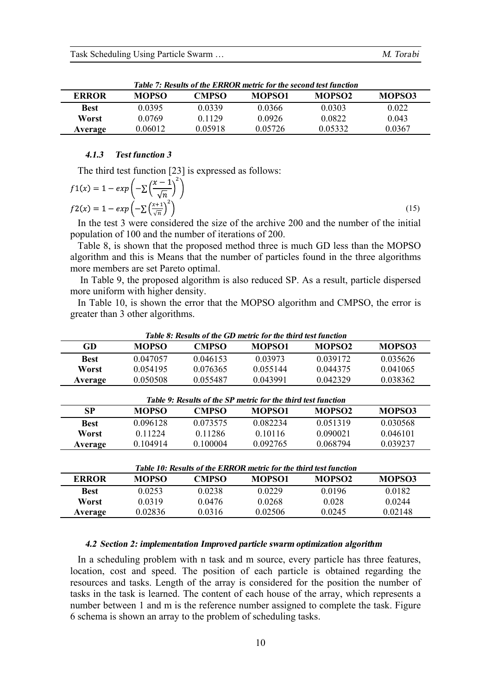| Table 7: Results of the ERROR metric for the second test function |              |         |               |                    |        |  |  |
|-------------------------------------------------------------------|--------------|---------|---------------|--------------------|--------|--|--|
| <b>ERROR</b>                                                      | <b>MOPSO</b> | CMPSO   | <b>MOPSO1</b> | MOPSO <sub>2</sub> | MOPSO3 |  |  |
| <b>Best</b>                                                       | 0.0395       | 0.0339  | 0.0366        | 0.0303             | 0.022  |  |  |
| Worst                                                             | 0.0769       | 0.1129  | 0.0926        | 0.0822             | 0.043  |  |  |
| Average                                                           | 0.06012      | 0.05918 | 0.05726       | 0 05332            | 0.0367 |  |  |

# *4.1.3 Test function 3*

The third test function [23] is expressed as follows:

$$
f1(x) = 1 - exp\left(-\sum \left(\frac{x-1}{\sqrt{n}}\right)^2\right)
$$
  

$$
f2(x) = 1 - exp\left(-\sum \left(\frac{x+1}{\sqrt{n}}\right)^2\right)
$$
 (15)

In the test 3 were considered the size of the archive 200 and the number of the initial population of 100 and the number of iterations of 200.

Table 8, is shown that the proposed method three is much GD less than the MOPSO algorithm and this is Means that the number of particles found in the three algorithms more members are set Pareto optimal.

In Table 9, the proposed algorithm is also reduced SP. As a result, particle dispersed more uniform with higher density.

In Table 10, is shown the error that the MOPSO algorithm and CMPSO, the error is greater than 3 other algorithms.

*Table 8: Results of the GD metric for the third test function* 

|              | гане о. Кемпь ог ше унглиенте пог ше шпи вы типеноп |          |               |                    |          |  |  |
|--------------|-----------------------------------------------------|----------|---------------|--------------------|----------|--|--|
| GD           | <b>MOPSO</b>                                        | CMPSO    | <b>MOPSO1</b> | MOPSO <sub>2</sub> | MOPSO3   |  |  |
| <b>Best</b>  | 0.047057                                            | 0.046153 | 0.03973       | 0 0 3 9 1 7 2      | 0.035626 |  |  |
| <b>Worst</b> | 0.054195                                            | 0.076365 | 0.055144      | 0.044375           | 0.041065 |  |  |
| Average      | 0.050508                                            | 0.055487 | 0 043991      | 0.042329           | 0.038362 |  |  |

| Table 9: Results of the SP metric for the third test function |              |              |               |                    |          |  |  |
|---------------------------------------------------------------|--------------|--------------|---------------|--------------------|----------|--|--|
| <b>SP</b>                                                     | <b>MOPSO</b> | <b>CMPSO</b> | <b>MOPSO1</b> | MOPSO <sub>2</sub> | MOPSO3   |  |  |
| <b>Best</b>                                                   | 0.096128     | 0.073575     | 0.082234      | 0 0 5 1 3 1 9      | 0.030568 |  |  |
| Worst                                                         | 0 1 1 2 2 4  | 0.11286      | 0.10116       | 0.090021           | 0.046101 |  |  |
| Average                                                       | 0 104914     | 0 100004     | 0.092765      | 0.068794           | 0.039237 |  |  |

| Table 10: Results of the ERROR metric for the third test function |              |        |               |                    |           |  |
|-------------------------------------------------------------------|--------------|--------|---------------|--------------------|-----------|--|
| <b>ERROR</b>                                                      | <b>MOPSO</b> | CMPSO  | <b>MOPSO1</b> | MOPSO <sub>2</sub> | MOPSO3    |  |
| <b>Best</b>                                                       | 0.0253       | 0.0238 | 0 0 2 2 9     | 0.0196             | 0.0182    |  |
| Worst                                                             | 0.0319       | 0.0476 | 0.0268        | 0.028              | 0 0 2 4 4 |  |
| Average                                                           | 0.02836      | 0.0316 | 0 02506       | 0.0245             | 0.02148   |  |

### *4.2 Section 2: implementation Improved particle swarm optimization algorithm*

In a scheduling problem with n task and m source, every particle has three features, location, cost and speed. The position of each particle is obtained regarding the resources and tasks. Length of the array is considered for the position the number of tasks in the task is learned. The content of each house of the array, which represents a number between 1 and m is the reference number assigned to complete the task. Figure 6 schema is shown an array to the problem of scheduling tasks.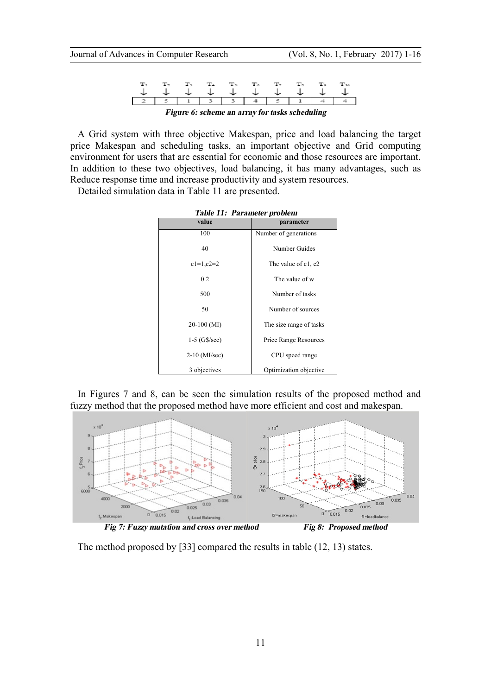|                                                |             |  |  |  | $T_{\rm A}$ $T_{\rm 7}$ |           |  |  |
|------------------------------------------------|-------------|--|--|--|-------------------------|-----------|--|--|
|                                                |             |  |  |  |                         | J J J J J |  |  |
|                                                | 51133415114 |  |  |  |                         |           |  |  |
| Figure 6: scheme an array for tasks scheduling |             |  |  |  |                         |           |  |  |

A Grid system with three objective Makespan, price and load balancing the target price Makespan and scheduling tasks, an important objective and Grid computing environment for users that are essential for economic and those resources are important. In addition to these two objectives, load balancing, it has many advantages, such as Reduce response time and increase productivity and system resources.

Detailed simulation data in Table 11 are presented.

| value           | parameter               |
|-----------------|-------------------------|
| 100             | Number of generations   |
|                 |                         |
| 40              | Number Guides           |
|                 |                         |
| $c1=1,c2=2$     | The value of c1, c2     |
|                 |                         |
| 0.2             | The value of w          |
| 500             | Number of tasks         |
|                 |                         |
| 50              | Number of sources       |
|                 |                         |
| $20-100$ (MI)   | The size range of tasks |
|                 |                         |
| $1-5$ (G\$/sec) | Price Range Resources   |
|                 |                         |
| $2-10$ (MI/sec) | CPU speed range         |
|                 |                         |
| 3 objectives    | Optimization objective  |

*Table 11: Parameter problem* 

In Figures 7 and 8, can be seen the simulation results of the proposed method and fuzzy method that the proposed method have more efficient and cost and makespan.



The method proposed by [33] compared the results in table (12, 13) states.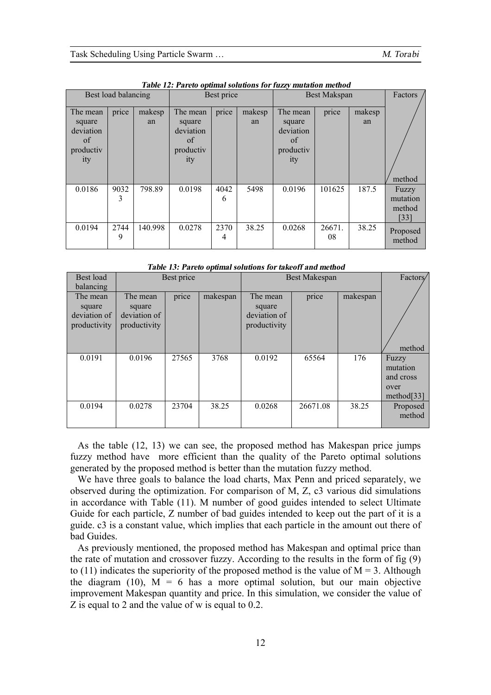| Best load balancing                                       |           |              | Best price                                                |           |              | Best Makspan                                              |              |              | Factors                             |
|-----------------------------------------------------------|-----------|--------------|-----------------------------------------------------------|-----------|--------------|-----------------------------------------------------------|--------------|--------------|-------------------------------------|
| The mean<br>square<br>deviation<br>of<br>productiv<br>ity | price     | makesp<br>an | The mean<br>square<br>deviation<br>of<br>productiv<br>ity | price     | makesp<br>an | The mean<br>square<br>deviation<br>of<br>productiv<br>ity | price        | makesp<br>an | method                              |
| 0.0186                                                    | 9032<br>3 | 798.89       | 0.0198                                                    | 4042<br>6 | 5498         | 0.0196                                                    | 101625       | 187.5        | Fuzzy<br>mutation<br>method<br>[33] |
| 0.0194                                                    | 2744<br>9 | 140.998      | 0.0278                                                    | 2370<br>4 | 38.25        | 0.0268                                                    | 26671.<br>08 | 38.25        | Proposed<br>method                  |

*Table 12: Pareto optimal solutions for fuzzy mutation method* 

| Best load                                          | Best price                                         |       |          | <b>Best Makespan</b>                               | Factors/ |          |                                                 |
|----------------------------------------------------|----------------------------------------------------|-------|----------|----------------------------------------------------|----------|----------|-------------------------------------------------|
| balancing                                          |                                                    |       |          |                                                    |          |          |                                                 |
| The mean<br>square<br>deviation of<br>productivity | The mean<br>square<br>deviation of<br>productivity | price | makespan | The mean<br>square<br>deviation of<br>productivity | price    | makespan | method                                          |
| 0.0191                                             | 0.0196                                             | 27565 | 3768     | 0.0192                                             | 65564    | 176      | Fuzzy                                           |
|                                                    |                                                    |       |          |                                                    |          |          | mutation<br>and cross<br>over<br>method[ $33$ ] |
| 0.0194                                             | 0.0278                                             | 23704 | 38.25    | 0.0268                                             | 26671.08 | 38.25    | Proposed<br>method                              |

*Table 13: Pareto optimal solutions for takeoff and method*

As the table (12, 13) we can see, the proposed method has Makespan price jumps fuzzy method have more efficient than the quality of the Pareto optimal solutions generated by the proposed method is better than the mutation fuzzy method.

We have three goals to balance the load charts, Max Penn and priced separately, we observed during the optimization. For comparison of M, Z, c3 various did simulations in accordance with Table (11). M number of good guides intended to select Ultimate Guide for each particle, Z number of bad guides intended to keep out the part of it is a guide. c3 is a constant value, which implies that each particle in the amount out there of bad Guides.

As previously mentioned, the proposed method has Makespan and optimal price than the rate of mutation and crossover fuzzy. According to the results in the form of fig (9) to (11) indicates the superiority of the proposed method is the value of  $M = 3$ . Although the diagram (10),  $M = 6$  has a more optimal solution, but our main objective improvement Makespan quantity and price. In this simulation, we consider the value of Z is equal to 2 and the value of w is equal to 0.2.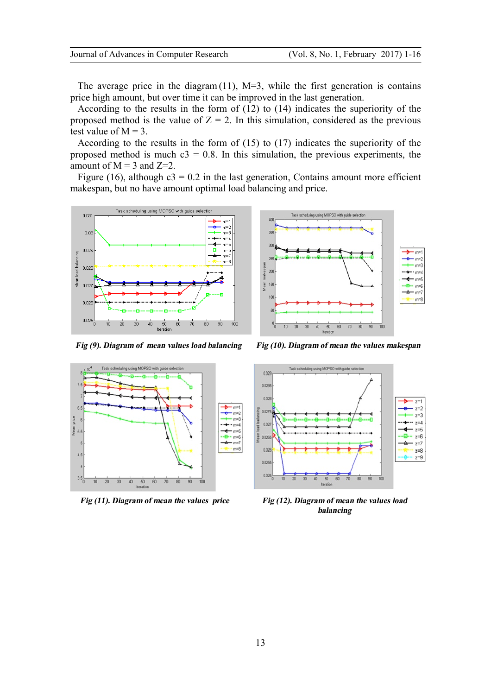The average price in the diagram  $(11)$ , M=3, while the first generation is contains price high amount, but over time it can be improved in the last generation.

According to the results in the form of (12) to (14) indicates the superiority of the proposed method is the value of  $Z = 2$ . In this simulation, considered as the previous test value of  $M = 3$ .

According to the results in the form of (15) to (17) indicates the superiority of the proposed method is much  $c3 = 0.8$ . In this simulation, the previous experiments, the amount of  $M = 3$  and  $Z=2$ .

Figure (16), although  $c3 = 0.2$  in the last generation, Contains amount more efficient makespan, but no have amount optimal load balancing and price.



Task scheduling using MOPSO with guide  $\mathbf{R}$ 25  $m = 1$  $\overline{20}$ teen 15  $m = 6$ 







*Fig (11). Diagram of mean the values price Fig (12). Diagram of mean the values load balancing*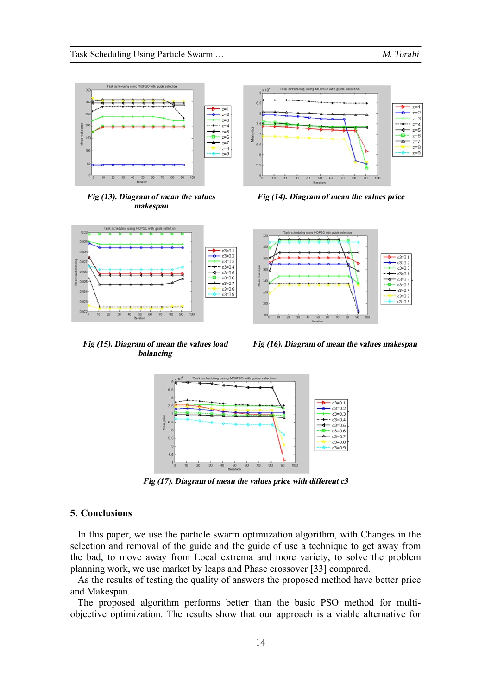

*Fig (13). Diagram of mean the values makespan*



*Fig (14). Diagram of mean the values price*



*Fig (15). Diagram of mean the values load balancing* 

*Fig (16). Diagram of mean the values makespan* 



*Fig (17). Diagram of mean the values price with different c3* 

# **5. Conclusions**

In this paper, we use the particle swarm optimization algorithm, with Changes in the selection and removal of the guide and the guide of use a technique to get away from the bad, to move away from Local extrema and more variety, to solve the problem planning work, we use market by leaps and Phase crossover [33] compared.

As the results of testing the quality of answers the proposed method have better price and Makespan.

The proposed algorithm performs better than the basic PSO method for multiobjective optimization. The results show that our approach is a viable alternative for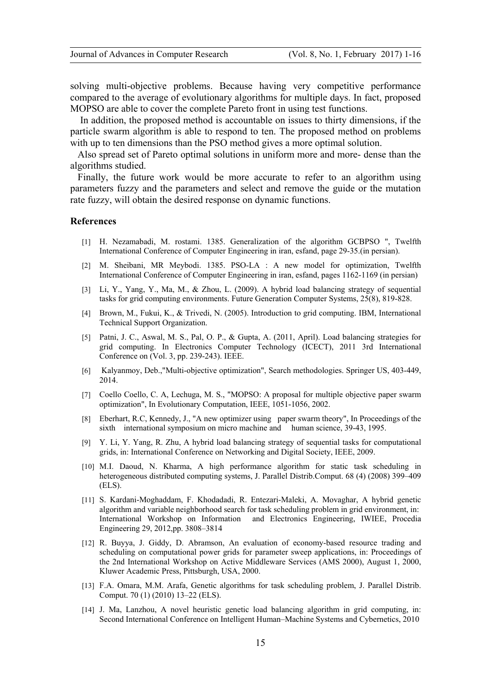solving multi-objective problems. Because having very competitive performance compared to the average of evolutionary algorithms for multiple days. In fact, proposed MOPSO are able to cover the complete Pareto front in using test functions.

In addition, the proposed method is accountable on issues to thirty dimensions, if the particle swarm algorithm is able to respond to ten. The proposed method on problems with up to ten dimensions than the PSO method gives a more optimal solution.

Also spread set of Pareto optimal solutions in uniform more and more- dense than the algorithms studied.

Finally, the future work would be more accurate to refer to an algorithm using parameters fuzzy and the parameters and select and remove the guide or the mutation rate fuzzy, will obtain the desired response on dynamic functions.

# **References**

- [1] H. Nezamabadi, M. rostami. 1385. Generalization of the algorithm GCBPSO ", Twelfth International Conference of Computer Engineering in iran, esfand, page 29-35.(in persian).
- [2] M. Sheibani, MR Meybodi. 1385. PSO-LA : A new model for optimization, Twelfth International Conference of Computer Engineering in iran, esfand, pages 1162-1169 (in persian)
- [3] Li, Y., Yang, Y., Ma, M., & Zhou, L. (2009). A hybrid load balancing strategy of sequential tasks for grid computing environments. Future Generation Computer Systems, 25(8), 819-828.
- [4] Brown, M., Fukui, K., & Trivedi, N. (2005). Introduction to grid computing. IBM, International Technical Support Organization.
- [5] Patni, J. C., Aswal, M. S., Pal, O. P., & Gupta, A. (2011, April). Load balancing strategies for grid computing. In Electronics Computer Technology (ICECT), 2011 3rd International Conference on (Vol. 3, pp. 239-243). IEEE.
- [6] Kalyanmoy, Deb.,"Multi-objective optimization", Search methodologies. Springer US, 403-449, 2014.
- [7] Coello Coello, C. A, Lechuga, M. S., "MOPSO: A proposal for multiple objective paper swarm optimization", In Evolutionary Computation, IEEE, 1051-1056, 2002.
- [8] Eberhart, R.C, Kennedy, J., "A new optimizer using paper swarm theory", In Proceedings of the sixth international symposium on micro machine and human science, 39-43, 1995.
- [9] Y. Li, Y. Yang, R. Zhu, A hybrid load balancing strategy of sequential tasks for computational grids, in: International Conference on Networking and Digital Society, IEEE, 2009.
- [10] M.I. Daoud, N. Kharma, A high performance algorithm for static task scheduling in heterogeneous distributed computing systems, J. Parallel Distrib.Comput. 68 (4) (2008) 399–409 (ELS).
- [11] S. Kardani-Moghaddam, F. Khodadadi, R. Entezari-Maleki, A. Movaghar, A hybrid genetic algorithm and variable neighborhood search for task scheduling problem in grid environment, in: International Workshop on Information and Electronics Engineering, IWIEE, Procedia Engineering 29, 2012,pp. 3808–3814
- [12] R. Buyya, J. Giddy, D. Abramson, An evaluation of economy-based resource trading and scheduling on computational power grids for parameter sweep applications, in: Proceedings of the 2nd International Workshop on Active Middleware Services (AMS 2000), August 1, 2000, Kluwer Academic Press, Pittsburgh, USA, 2000.
- [13] F.A. Omara, M.M. Arafa, Genetic algorithms for task scheduling problem, J. Parallel Distrib. Comput. 70 (1) (2010) 13–22 (ELS).
- [14] J. Ma, Lanzhou, A novel heuristic genetic load balancing algorithm in grid computing, in: Second International Conference on Intelligent Human–Machine Systems and Cybernetics, 2010